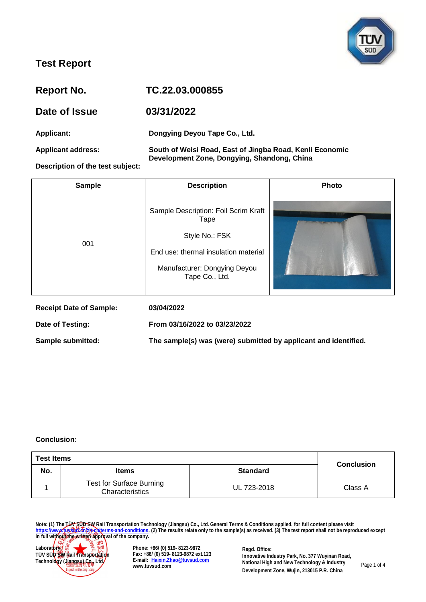

| <b>Report No.</b>                | TC.22.03.000855                                                                                         |
|----------------------------------|---------------------------------------------------------------------------------------------------------|
| Date of Issue                    | 03/31/2022                                                                                              |
| Applicant:                       | Dongying Deyou Tape Co., Ltd.                                                                           |
| <b>Applicant address:</b>        | South of Weisi Road, East of Jingba Road, Kenli Economic<br>Development Zone, Dongying, Shandong, China |
| Description of the test subject: |                                                                                                         |

| <b>Sample</b>                  | <b>Description</b>                                                                                                                                       | <b>Photo</b> |
|--------------------------------|----------------------------------------------------------------------------------------------------------------------------------------------------------|--------------|
| 001                            | Sample Description: Foil Scrim Kraft<br>Tape<br>Style No.: FSK<br>End use: thermal insulation material<br>Manufacturer: Dongying Deyou<br>Tape Co., Ltd. |              |
| <b>Receipt Date of Sample:</b> | 03/04/2022                                                                                                                                               |              |
| Date of Testing:               | From 03/16/2022 to 03/23/2022                                                                                                                            |              |

**Sample submitted: The sample(s) was (were) submitted by applicant and identified.**

#### **Conclusion:**

| <b>Test Items</b> |                                                    |                 |                   |
|-------------------|----------------------------------------------------|-----------------|-------------------|
| No.               | <b>Items</b>                                       | <b>Standard</b> | <b>Conclusion</b> |
|                   | <b>Test for Surface Burning</b><br>Characteristics | UL 723-2018     | Class A           |

**Note: (1) The TÜV SÜD SW Rail Transportation Technology (Jiangsu) Co., Ltd. General Terms & Conditions applied, for full content please visit [https://www.tuvsud.cn/zh-cn/terms-and-conditions.](https://www.tuvsud.cn/zh-cn/terms-and-conditions) (2) The results relate only to the sample(s) as received. (3) The test report shall not be reproduced except in full without the written approval of the company.**



**Phone: +86/ (0) 519- 8123-9872 Fax: +86/ (0) 519- 8123-9872 ext.123 E-mail: [Haixin.Zhao@tuvsud.com](mailto: Haixin.Zhao@tuvsud.com) www.tuvsud.com**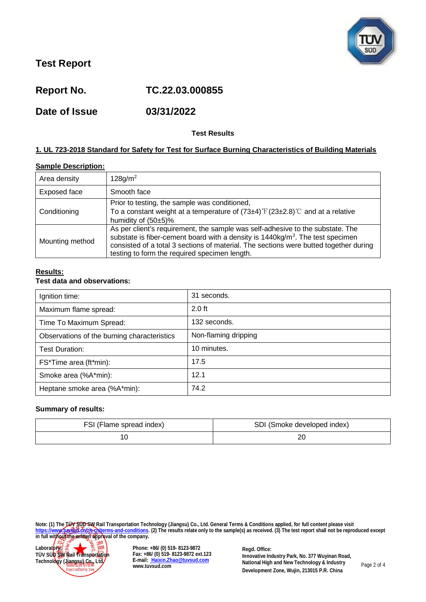

**Report No. TC.22.03.000855**

**Date of Issue 03/31/2022**

## **Test Results**

## **1. UL 723-2018 Standard for Safety for Test for Surface Burning Characteristics of Building Materials**

## **Sample Description:**

| Area density    | 128 g/m <sup>2</sup>                                                                                                                                                                                                                                                                                                  |
|-----------------|-----------------------------------------------------------------------------------------------------------------------------------------------------------------------------------------------------------------------------------------------------------------------------------------------------------------------|
| Exposed face    | Smooth face                                                                                                                                                                                                                                                                                                           |
| Conditioning    | Prior to testing, the sample was conditioned,<br>To a constant weight at a temperature of $(73\pm4)$ $\mathrm{F}(23\pm2.8)$ $\mathrm{C}$ and at a relative<br>humidity of $(50±5)\%$                                                                                                                                  |
| Mounting method | As per client's requirement, the sample was self-adhesive to the substate. The<br>substate is fiber-cement board with a density is $1440 \text{kg/m}^3$ . The test specimen<br>consisted of a total 3 sections of material. The sections were butted together during<br>testing to form the required specimen length. |

## **Results:**

## **Test data and observations:**

| Ignition time:                              | 31 seconds.          |
|---------------------------------------------|----------------------|
| Maximum flame spread:                       | $2.0$ ft             |
| Time To Maximum Spread:                     | 132 seconds.         |
| Observations of the burning characteristics | Non-flaming dripping |
| <b>Test Duration:</b>                       | 10 minutes.          |
| FS*Time area (ft*min):                      | 17.5                 |
| Smoke area (%A*min):                        | 12.1                 |
| Heptane smoke area (%A*min):                | 74.2                 |

#### **Summary of results:**

| FSI (Flame spread index) | SDI (Smoke developed index) |
|--------------------------|-----------------------------|
|                          | ∠⊾                          |

**Note: (1) The TÜV SÜD SW Rail Transportation Technology (Jiangsu) Co., Ltd. General Terms & Conditions applied, for full content please visit [https://www.tuvsud.cn/zh-cn/terms-and-conditions.](https://www.tuvsud.cn/zh-cn/terms-and-conditions) (2) The results relate only to the sample(s) as received. (3) The test report shall not be reproduced except in full without the written approval of the company.**



**Phone: +86/ (0) 519- 8123-9872 Fax: +86/ (0) 519- 8123-9872 ext.123 E-mail: [Haixin.Zhao@tuvsud.com](mailto: Haixin.Zhao@tuvsud.com) www.tuvsud.com**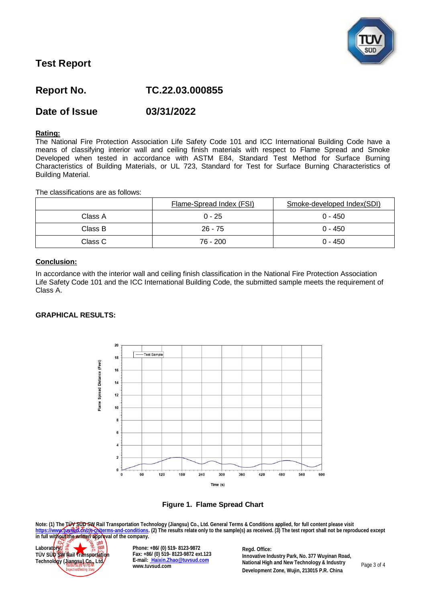

# **Report No. TC.22.03.000855**

# **Date of Issue 03/31/2022**

### **Rating:**

The National Fire Protection Association Life Safety Code 101 and ICC International Building Code have a means of classifying interior wall and ceiling finish materials with respect to Flame Spread and Smoke Developed when tested in accordance with ASTM E84, Standard Test Method for Surface Burning Characteristics of Building Materials, or UL 723, Standard for Test for Surface Burning Characteristics of Building Material.

The classifications are as follows:

|         | Flame-Spread Index (FSI) | Smoke-developed Index(SDI) |
|---------|--------------------------|----------------------------|
| Class A | $0 - 25$                 | $0 - 450$                  |
| Class B | $26 - 75$                | $0 - 450$                  |
| Class C | 76 - 200                 | $0 - 450$                  |

## **Conclusion:**

In accordance with the interior wall and ceiling finish classification in the National Fire Protection Association Life Safety Code 101 and the ICC International Building Code, the submitted sample meets the requirement of Class A.

#### **GRAPHICAL RESULTS:**





**Note: (1) The TÜV SÜD SW Rail Transportation Technology (Jiangsu) Co., Ltd. General Terms & Conditions applied, for full content please visit [https://www.tuvsud.cn/zh-cn/terms-and-conditions.](https://www.tuvsud.cn/zh-cn/terms-and-conditions) (2) The results relate only to the sample(s) as received. (3) The test report shall not be reproduced except ittps://www.fussedt.org/providents.and-company** (changed) sources in the sample(s) as received. (3) The test report shall not be reproduced except<br>in full without the written approval of the company.



**Phone: +86/ (0) 519- 8123-9872 Fax: +86/ (0) 519- 8123-9872 ext.123 E-mail: [Haixin.Zhao@tuvsud.com](mailto: Haixin.Zhao@tuvsud.com) www.tuvsud.com**